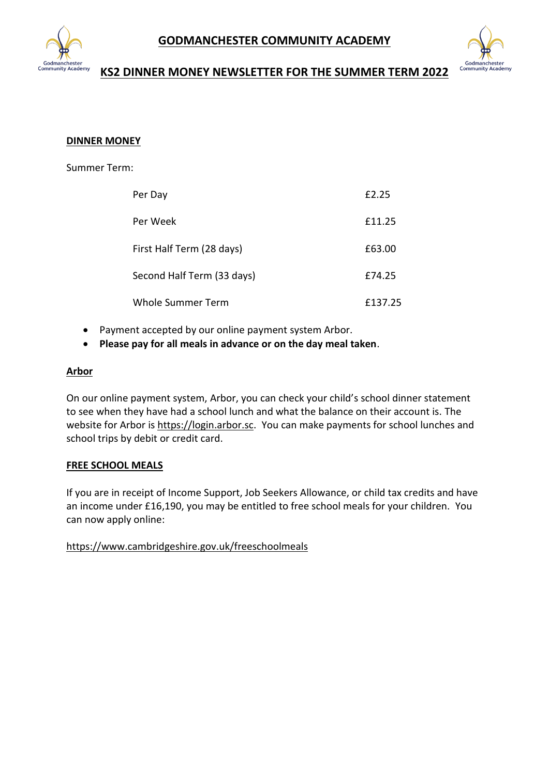



# **KS2 DINNER MONEY NEWSLETTER FOR THE SUMMER TERM 2022**

## **DINNER MONEY**

Summer Term:

| Per Day                    | £2.25   |
|----------------------------|---------|
| Per Week                   | £11.25  |
| First Half Term (28 days)  | £63.00  |
| Second Half Term (33 days) | £74.25  |
| Whole Summer Term          | £137.25 |

- Payment accepted by our online payment system Arbor.
- **Please pay for all meals in advance or on the day meal taken**.

#### **Arbor**

On our online payment system, Arbor, you can check your child's school dinner statement to see when they have had a school lunch and what the balance on their account is. The website for Arbor is [https://login.arbor.sc.](https://login.arbor.sc/) You can make payments for school lunches and school trips by debit or credit card.

#### **FREE SCHOOL MEALS**

If you are in receipt of Income Support, Job Seekers Allowance, or child tax credits and have an income under £16,190, you may be entitled to free school meals for your children. You can now apply online:

# <https://www.cambridgeshire.gov.uk/freeschoolmeals>